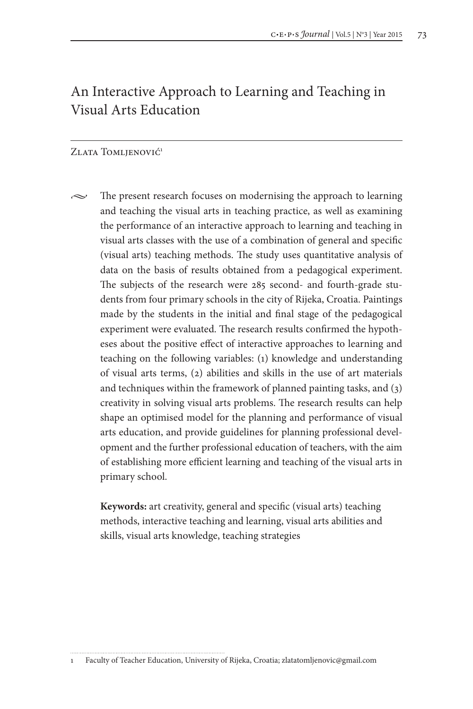# An Interactive Approach to Learning and Teaching in Visual Arts Education

#### ZLATA TOMLJENOVIĆ<sup>1</sup>

 $\sim$  The present research focuses on modernising the approach to learning and teaching the visual arts in teaching practice, as well as examining the performance of an interactive approach to learning and teaching in visual arts classes with the use of a combination of general and specific (visual arts) teaching methods. The study uses quantitative analysis of data on the basis of results obtained from a pedagogical experiment. The subjects of the research were 285 second- and fourth-grade students from four primary schools in the city of Rijeka, Croatia. Paintings made by the students in the initial and final stage of the pedagogical experiment were evaluated. The research results confirmed the hypotheses about the positive effect of interactive approaches to learning and teaching on the following variables: (1) knowledge and understanding of visual arts terms, (2) abilities and skills in the use of art materials and techniques within the framework of planned painting tasks, and (3) creativity in solving visual arts problems. The research results can help shape an optimised model for the planning and performance of visual arts education, and provide guidelines for planning professional development and the further professional education of teachers, with the aim of establishing more efficient learning and teaching of the visual arts in primary school.

**Keywords:** art creativity, general and specific (visual arts) teaching methods, interactive teaching and learning, visual arts abilities and skills, visual arts knowledge, teaching strategies

<sup>1</sup> Faculty of Teacher Education, University of Rijeka, Croatia; zlatatomljenovic@gmail.com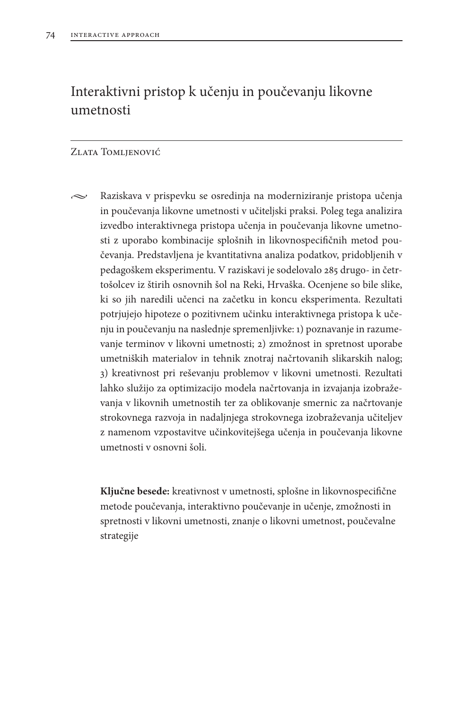# Interaktivni pristop k učenju in poučevanju likovne umetnosti

#### Zlata Tomljenović

 $\sim$  Raziskava v prispevku se osredinja na moderniziranje pristopa učenja in poučevanja likovne umetnosti v učiteljski praksi. Poleg tega analizira izvedbo interaktivnega pristopa učenja in poučevanja likovne umetnosti z uporabo kombinacije splošnih in likovnospecifičnih metod poučevanja. Predstavljena je kvantitativna analiza podatkov, pridobljenih v pedagoškem eksperimentu. V raziskavi je sodelovalo 285 drugo- in četrtošolcev iz štirih osnovnih šol na Reki, Hrvaška. Ocenjene so bile slike, ki so jih naredili učenci na začetku in koncu eksperimenta. Rezultati potrjujejo hipoteze o pozitivnem učinku interaktivnega pristopa k učenju in poučevanju na naslednje spremenljivke: 1) poznavanje in razumevanje terminov v likovni umetnosti; 2) zmožnost in spretnost uporabe umetniških materialov in tehnik znotraj načrtovanih slikarskih nalog; 3) kreativnost pri reševanju problemov v likovni umetnosti. Rezultati lahko služijo za optimizacijo modela načrtovanja in izvajanja izobraževanja v likovnih umetnostih ter za oblikovanje smernic za načrtovanje strokovnega razvoja in nadaljnjega strokovnega izobraževanja učiteljev z namenom vzpostavitve učinkovitejšega učenja in poučevanja likovne umetnosti v osnovni šoli.

**Ključne besede:** kreativnost v umetnosti, splošne in likovnospecifične metode poučevanja, interaktivno poučevanje in učenje, zmožnosti in spretnosti v likovni umetnosti, znanje o likovni umetnost, poučevalne strategije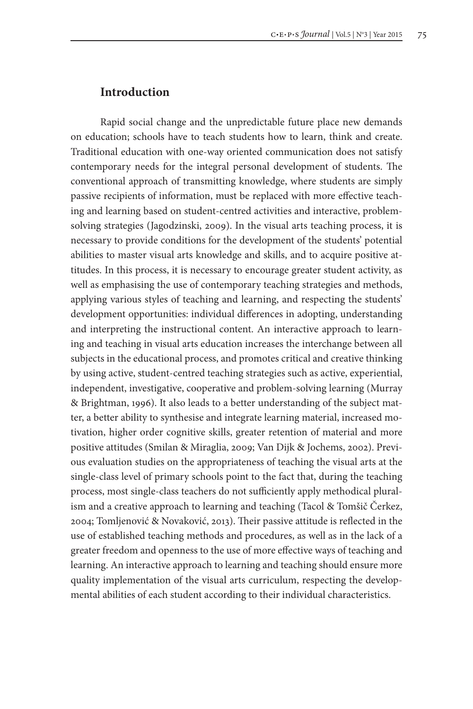### **Introduction**

Rapid social change and the unpredictable future place new demands on education; schools have to teach students how to learn, think and create. Traditional education with one-way oriented communication does not satisfy contemporary needs for the integral personal development of students. The conventional approach of transmitting knowledge, where students are simply passive recipients of information, must be replaced with more effective teaching and learning based on student-centred activities and interactive, problemsolving strategies (Jagodzinski, 2009). In the visual arts teaching process, it is necessary to provide conditions for the development of the students' potential abilities to master visual arts knowledge and skills, and to acquire positive attitudes. In this process, it is necessary to encourage greater student activity, as well as emphasising the use of contemporary teaching strategies and methods, applying various styles of teaching and learning, and respecting the students' development opportunities: individual differences in adopting, understanding and interpreting the instructional content. An interactive approach to learning and teaching in visual arts education increases the interchange between all subjects in the educational process, and promotes critical and creative thinking by using active, student-centred teaching strategies such as active, experiential, independent, investigative, cooperative and problem-solving learning (Murray & Brightman, 1996). It also leads to a better understanding of the subject matter, a better ability to synthesise and integrate learning material, increased motivation, higher order cognitive skills, greater retention of material and more positive attitudes (Smilan & Miraglia, 2009; Van Dijk & Jochems, 2002). Previous evaluation studies on the appropriateness of teaching the visual arts at the single-class level of primary schools point to the fact that, during the teaching process, most single-class teachers do not sufficiently apply methodical pluralism and a creative approach to learning and teaching (Tacol & Tomšič Čerkez, 2004; Tomljenović & Novaković, 2013). Their passive attitude is reflected in the use of established teaching methods and procedures, as well as in the lack of a greater freedom and openness to the use of more effective ways of teaching and learning. An interactive approach to learning and teaching should ensure more quality implementation of the visual arts curriculum, respecting the developmental abilities of each student according to their individual characteristics.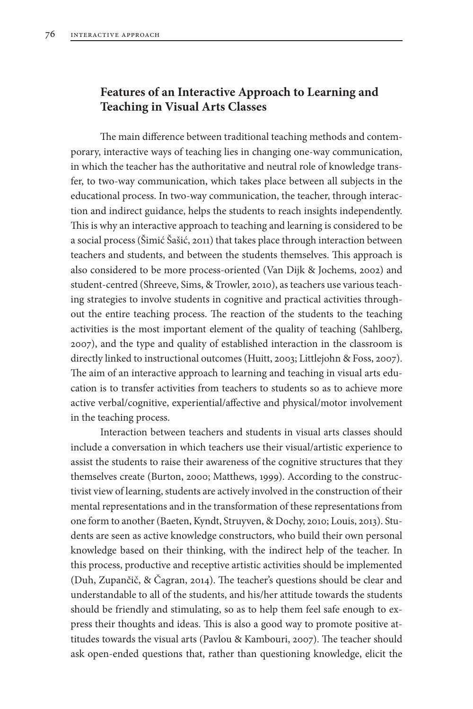# **Features of an Interactive Approach to Learning and Teaching in Visual Arts Classes**

The main difference between traditional teaching methods and contemporary, interactive ways of teaching lies in changing one-way communication, in which the teacher has the authoritative and neutral role of knowledge transfer, to two-way communication, which takes place between all subjects in the educational process. In two-way communication, the teacher, through interaction and indirect guidance, helps the students to reach insights independently. This is why an interactive approach to teaching and learning is considered to be a social process (Šimić Šašić, 2011) that takes place through interaction between teachers and students, and between the students themselves. This approach is also considered to be more process-oriented (Van Dijk & Jochems, 2002) and student-centred (Shreeve, Sims, & Trowler, 2010), as teachers use various teaching strategies to involve students in cognitive and practical activities throughout the entire teaching process. The reaction of the students to the teaching activities is the most important element of the quality of teaching (Sahlberg, 2007), and the type and quality of established interaction in the classroom is directly linked to instructional outcomes (Huitt, 2003; Littlejohn & Foss, 2007). The aim of an interactive approach to learning and teaching in visual arts education is to transfer activities from teachers to students so as to achieve more active verbal/cognitive, experiential/affective and physical/motor involvement in the teaching process.

Interaction between teachers and students in visual arts classes should include a conversation in which teachers use their visual/artistic experience to assist the students to raise their awareness of the cognitive structures that they themselves create (Burton, 2000; Matthews, 1999). According to the constructivist view of learning, students are actively involved in the construction of their mental representations and in the transformation of these representations from one form to another (Baeten, Kyndt, Struyven, & Dochy, 2010; Louis, 2013). Students are seen as active knowledge constructors, who build their own personal knowledge based on their thinking, with the indirect help of the teacher. In this process, productive and receptive artistic activities should be implemented (Duh, Zupančič, & Čagran, 2014). The teacher's questions should be clear and understandable to all of the students, and his/her attitude towards the students should be friendly and stimulating, so as to help them feel safe enough to express their thoughts and ideas. This is also a good way to promote positive attitudes towards the visual arts (Pavlou & Kambouri, 2007). The teacher should ask open-ended questions that, rather than questioning knowledge, elicit the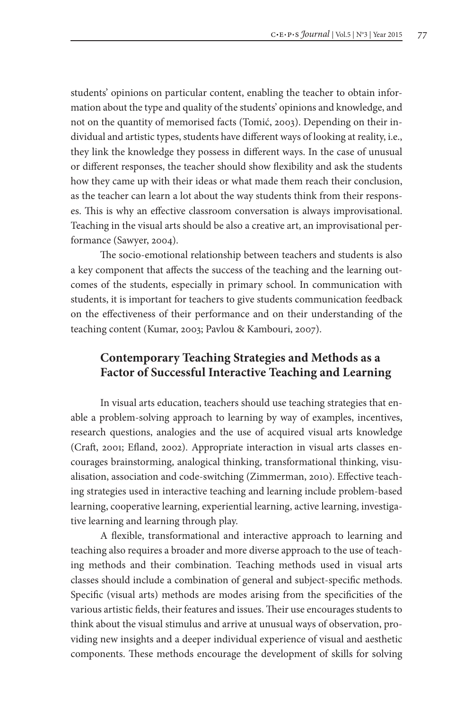students' opinions on particular content, enabling the teacher to obtain information about the type and quality of the students' opinions and knowledge, and not on the quantity of memorised facts (Tomić, 2003). Depending on their individual and artistic types, students have different ways of looking at reality, i.e., they link the knowledge they possess in different ways. In the case of unusual or different responses, the teacher should show flexibility and ask the students how they came up with their ideas or what made them reach their conclusion, as the teacher can learn a lot about the way students think from their responses. This is why an effective classroom conversation is always improvisational. Teaching in the visual arts should be also a creative art, an improvisational performance (Sawyer, 2004).

The socio-emotional relationship between teachers and students is also a key component that affects the success of the teaching and the learning outcomes of the students, especially in primary school. In communication with students, it is important for teachers to give students communication feedback on the effectiveness of their performance and on their understanding of the teaching content (Kumar, 2003; Pavlou & Kambouri, 2007).

# **Contemporary Teaching Strategies and Methods as a Factor of Successful Interactive Teaching and Learning**

In visual arts education, teachers should use teaching strategies that enable a problem-solving approach to learning by way of examples, incentives, research questions, analogies and the use of acquired visual arts knowledge (Craft, 2001; Efland, 2002). Appropriate interaction in visual arts classes encourages brainstorming, analogical thinking, transformational thinking, visualisation, association and code-switching (Zimmerman, 2010). Effective teaching strategies used in interactive teaching and learning include problem-based learning, cooperative learning, experiential learning, active learning, investigative learning and learning through play.

A flexible, transformational and interactive approach to learning and teaching also requires a broader and more diverse approach to the use of teaching methods and their combination. Teaching methods used in visual arts classes should include a combination of general and subject-specific methods. Specific (visual arts) methods are modes arising from the specificities of the various artistic fields, their features and issues. Their use encourages students to think about the visual stimulus and arrive at unusual ways of observation, providing new insights and a deeper individual experience of visual and aesthetic components. These methods encourage the development of skills for solving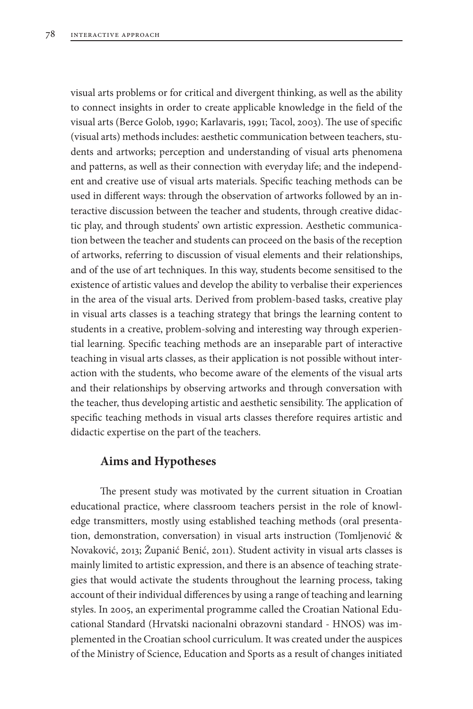visual arts problems or for critical and divergent thinking, as well as the ability to connect insights in order to create applicable knowledge in the field of the visual arts (Berce Golob, 1990; Karlavaris, 1991; Tacol, 2003). The use of specific (visual arts) methods includes: aesthetic communication between teachers, students and artworks; perception and understanding of visual arts phenomena and patterns, as well as their connection with everyday life; and the independent and creative use of visual arts materials. Specific teaching methods can be used in different ways: through the observation of artworks followed by an interactive discussion between the teacher and students, through creative didactic play, and through students' own artistic expression. Aesthetic communication between the teacher and students can proceed on the basis of the reception of artworks, referring to discussion of visual elements and their relationships, and of the use of art techniques. In this way, students become sensitised to the existence of artistic values and develop the ability to verbalise their experiences in the area of the visual arts. Derived from problem-based tasks, creative play in visual arts classes is a teaching strategy that brings the learning content to students in a creative, problem-solving and interesting way through experiential learning. Specific teaching methods are an inseparable part of interactive teaching in visual arts classes, as their application is not possible without interaction with the students, who become aware of the elements of the visual arts and their relationships by observing artworks and through conversation with the teacher, thus developing artistic and aesthetic sensibility. The application of specific teaching methods in visual arts classes therefore requires artistic and didactic expertise on the part of the teachers.

### **Aims and Hypotheses**

The present study was motivated by the current situation in Croatian educational practice, where classroom teachers persist in the role of knowledge transmitters, mostly using established teaching methods (oral presentation, demonstration, conversation) in visual arts instruction (Tomljenović & Novaković, 2013; Županić Benić, 2011). Student activity in visual arts classes is mainly limited to artistic expression, and there is an absence of teaching strategies that would activate the students throughout the learning process, taking account of their individual differences by using a range of teaching and learning styles. In 2005, an experimental programme called the Croatian National Educational Standard (Hrvatski nacionalni obrazovni standard - HNOS) was implemented in the Croatian school curriculum. It was created under the auspices of the Ministry of Science, Education and Sports as a result of changes initiated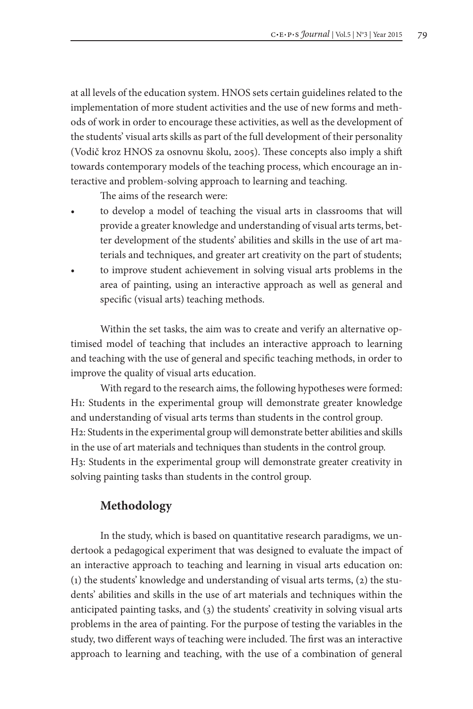at all levels of the education system. HNOS sets certain guidelines related to the implementation of more student activities and the use of new forms and methods of work in order to encourage these activities, as well as the development of the students' visual arts skills as part of the full development of their personality (Vodič kroz HNOS za osnovnu školu, 2005). These concepts also imply a shift towards contemporary models of the teaching process, which encourage an interactive and problem-solving approach to learning and teaching.

The aims of the research were:

- to develop a model of teaching the visual arts in classrooms that will provide a greater knowledge and understanding of visual arts terms, better development of the students' abilities and skills in the use of art materials and techniques, and greater art creativity on the part of students;
- to improve student achievement in solving visual arts problems in the area of painting, using an interactive approach as well as general and specific (visual arts) teaching methods.

Within the set tasks, the aim was to create and verify an alternative optimised model of teaching that includes an interactive approach to learning and teaching with the use of general and specific teaching methods, in order to improve the quality of visual arts education.

With regard to the research aims, the following hypotheses were formed: H1: Students in the experimental group will demonstrate greater knowledge and understanding of visual arts terms than students in the control group. H2: Students in the experimental group will demonstrate better abilities and skills in the use of art materials and techniques than students in the control group. H3: Students in the experimental group will demonstrate greater creativity in solving painting tasks than students in the control group.

## **Methodology**

In the study, which is based on quantitative research paradigms, we undertook a pedagogical experiment that was designed to evaluate the impact of an interactive approach to teaching and learning in visual arts education on: (1) the students' knowledge and understanding of visual arts terms, (2) the students' abilities and skills in the use of art materials and techniques within the anticipated painting tasks, and (3) the students' creativity in solving visual arts problems in the area of painting. For the purpose of testing the variables in the study, two different ways of teaching were included. The first was an interactive approach to learning and teaching, with the use of a combination of general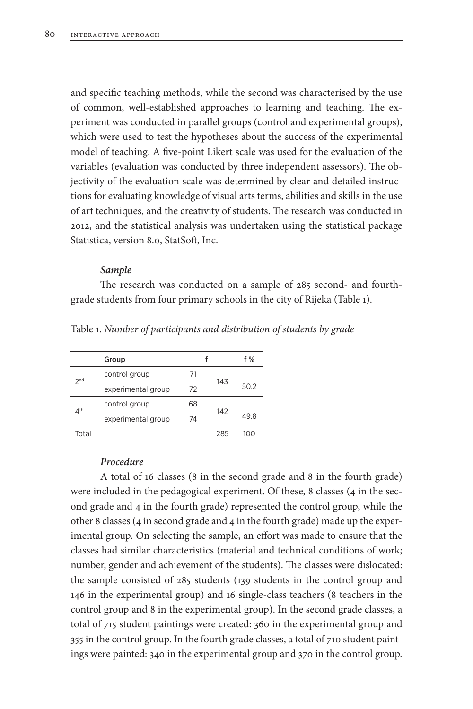and specific teaching methods, while the second was characterised by the use of common, well-established approaches to learning and teaching. The experiment was conducted in parallel groups (control and experimental groups), which were used to test the hypotheses about the success of the experimental model of teaching. A five-point Likert scale was used for the evaluation of the variables (evaluation was conducted by three independent assessors). The objectivity of the evaluation scale was determined by clear and detailed instructions for evaluating knowledge of visual arts terms, abilities and skills in the use of art techniques, and the creativity of students. The research was conducted in 2012, and the statistical analysis was undertaken using the statistical package Statistica, version 8.0, StatSoft, Inc.

#### *Sample*

The research was conducted on a sample of 285 second- and fourthgrade students from four primary schools in the city of Rijeka (Table 1).

|                 | Group              |                        |      | f %  |
|-----------------|--------------------|------------------------|------|------|
| 2 <sub>nd</sub> | control group      | 71                     |      |      |
|                 | experimental group | 143<br>72<br>68<br>142 | 50.2 |      |
| 4 <sup>th</sup> | control group      |                        |      |      |
|                 | experimental group | 74                     |      | 49.8 |
| Total           |                    |                        | 285  | 1ററ  |

Table 1. *Number of participants and distribution of students by grade*

#### *Procedure*

A total of 16 classes (8 in the second grade and 8 in the fourth grade) were included in the pedagogical experiment. Of these, 8 classes (4 in the second grade and 4 in the fourth grade) represented the control group, while the other 8 classes (4 in second grade and 4 in the fourth grade) made up the experimental group. On selecting the sample, an effort was made to ensure that the classes had similar characteristics (material and technical conditions of work; number, gender and achievement of the students). The classes were dislocated: the sample consisted of 285 students (139 students in the control group and 146 in the experimental group) and 16 single-class teachers (8 teachers in the control group and 8 in the experimental group). In the second grade classes, a total of 715 student paintings were created: 360 in the experimental group and 355 in the control group. In the fourth grade classes, a total of 710 student paintings were painted: 340 in the experimental group and 370 in the control group.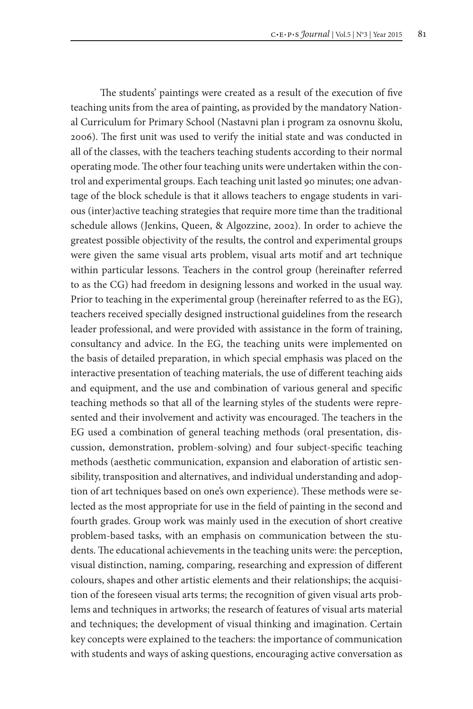The students' paintings were created as a result of the execution of five teaching units from the area of painting, as provided by the mandatory National Curriculum for Primary School (Nastavni plan i program za osnovnu školu, 2006). The first unit was used to verify the initial state and was conducted in all of the classes, with the teachers teaching students according to their normal operating mode. The other four teaching units were undertaken within the control and experimental groups. Each teaching unit lasted 90 minutes; one advantage of the block schedule is that it allows teachers to engage students in various (inter)active teaching strategies that require more time than the traditional schedule allows (Jenkins, Queen, & Algozzine, 2002). In order to achieve the greatest possible objectivity of the results, the control and experimental groups were given the same visual arts problem, visual arts motif and art technique within particular lessons. Teachers in the control group (hereinafter referred to as the CG) had freedom in designing lessons and worked in the usual way. Prior to teaching in the experimental group (hereinafter referred to as the EG), teachers received specially designed instructional guidelines from the research leader professional, and were provided with assistance in the form of training, consultancy and advice. In the EG, the teaching units were implemented on the basis of detailed preparation, in which special emphasis was placed on the interactive presentation of teaching materials, the use of different teaching aids and equipment, and the use and combination of various general and specific teaching methods so that all of the learning styles of the students were represented and their involvement and activity was encouraged. The teachers in the EG used a combination of general teaching methods (oral presentation, discussion, demonstration, problem-solving) and four subject-specific teaching methods (aesthetic communication, expansion and elaboration of artistic sensibility, transposition and alternatives, and individual understanding and adoption of art techniques based on one's own experience). These methods were selected as the most appropriate for use in the field of painting in the second and fourth grades. Group work was mainly used in the execution of short creative problem-based tasks, with an emphasis on communication between the students. The educational achievements in the teaching units were: the perception, visual distinction, naming, comparing, researching and expression of different colours, shapes and other artistic elements and their relationships; the acquisition of the foreseen visual arts terms; the recognition of given visual arts problems and techniques in artworks; the research of features of visual arts material and techniques; the development of visual thinking and imagination. Certain key concepts were explained to the teachers: the importance of communication with students and ways of asking questions, encouraging active conversation as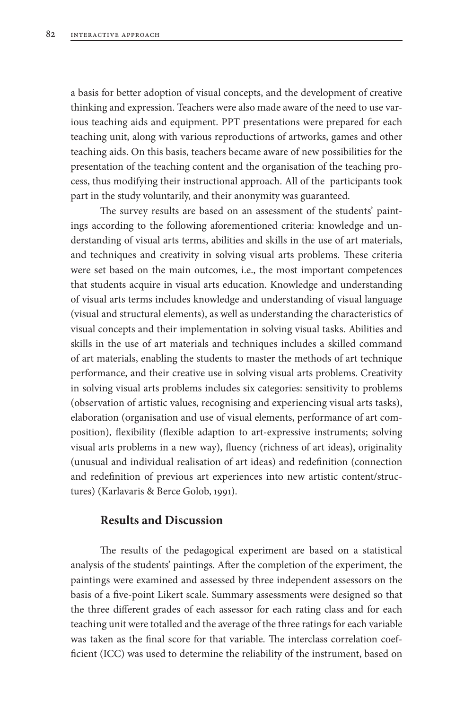a basis for better adoption of visual concepts, and the development of creative thinking and expression. Teachers were also made aware of the need to use various teaching aids and equipment. PPT presentations were prepared for each teaching unit, along with various reproductions of artworks, games and other teaching aids. On this basis, teachers became aware of new possibilities for the presentation of the teaching content and the organisation of the teaching process, thus modifying their instructional approach. All of the participants took part in the study voluntarily, and their anonymity was guaranteed.

The survey results are based on an assessment of the students' paintings according to the following aforementioned criteria: knowledge and understanding of visual arts terms, abilities and skills in the use of art materials, and techniques and creativity in solving visual arts problems. These criteria were set based on the main outcomes, i.e., the most important competences that students acquire in visual arts education. Knowledge and understanding of visual arts terms includes knowledge and understanding of visual language (visual and structural elements), as well as understanding the characteristics of visual concepts and their implementation in solving visual tasks. Abilities and skills in the use of art materials and techniques includes a skilled command of art materials, enabling the students to master the methods of art technique performance, and their creative use in solving visual arts problems. Creativity in solving visual arts problems includes six categories: sensitivity to problems (observation of artistic values, recognising and experiencing visual arts tasks), elaboration (organisation and use of visual elements, performance of art composition), flexibility (flexible adaption to art-expressive instruments; solving visual arts problems in a new way), fluency (richness of art ideas), originality (unusual and individual realisation of art ideas) and redefinition (connection and redefinition of previous art experiences into new artistic content/structures) (Karlavaris & Berce Golob, 1991).

# **Results and Discussion**

The results of the pedagogical experiment are based on a statistical analysis of the students' paintings. After the completion of the experiment, the paintings were examined and assessed by three independent assessors on the basis of a five-point Likert scale. Summary assessments were designed so that the three different grades of each assessor for each rating class and for each teaching unit were totalled and the average of the three ratings for each variable was taken as the final score for that variable. The interclass correlation coefficient (ICC) was used to determine the reliability of the instrument, based on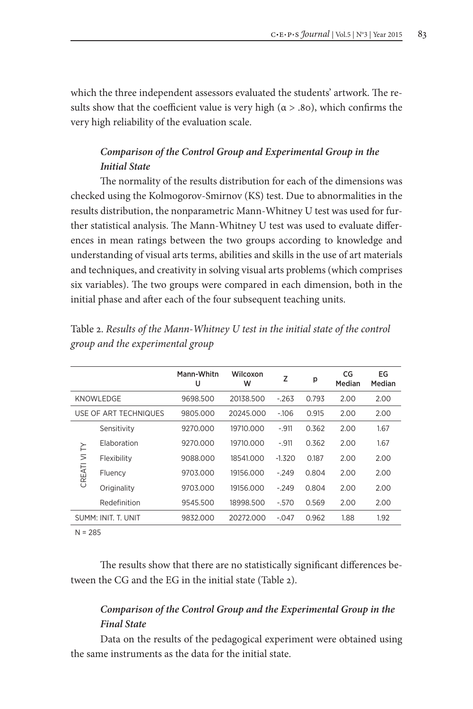which the three independent assessors evaluated the students' artwork. The results show that the coefficient value is very high ( $\alpha$  > .80), which confirms the very high reliability of the evaluation scale.

# *Comparison of the Control Group and Experimental Group in the Initial State*

The normality of the results distribution for each of the dimensions was checked using the Kolmogorov-Smirnov (KS) test. Due to abnormalities in the results distribution, the nonparametric Mann-Whitney U test was used for further statistical analysis. The Mann-Whitney U test was used to evaluate differences in mean ratings between the two groups according to knowledge and understanding of visual arts terms, abilities and skills in the use of art materials and techniques, and creativity in solving visual arts problems (which comprises six variables). The two groups were compared in each dimension, both in the initial phase and after each of the four subsequent teaching units.

|                     |                       | Mann-Whitn<br>U | Wilcoxon<br>w | Z        | p     | CG<br>Median | EG<br>Median |
|---------------------|-----------------------|-----------------|---------------|----------|-------|--------------|--------------|
| KNOWLEDGE           |                       | 9698.500        | 20138.500     | $-263$   | 0.793 | 2.00         | 2.00         |
|                     | USE OF ART TECHNIQUES | 9805.000        | 20245.000     | $-106$   | 0.915 | 2.00         | 2.00         |
| CREATI VI TY        | Sensitivity           | 9270.000        | 19710.000     | $-.911$  | 0.362 | 2.00         | 1.67         |
|                     | Elaboration           | 9270.000        | 19710.000     | $-.911$  | 0.362 | 2.00         | 1.67         |
|                     | Flexibility           | 9088.000        | 18541.000     | $-1.320$ | 0.187 | 2.00         | 2.00         |
|                     | Fluency               | 9703.000        | 19156.000     | $-249$   | 0.804 | 2.00         | 2.00         |
|                     | Originality           | 9703.000        | 19156.000     | $-249$   | 0.804 | 2.00         | 2.00         |
|                     | Redefinition          | 9545.500        | 18998.500     | $-570$   | 0.569 | 2.00         | 2.00         |
| SUMM: INIT. T. UNIT |                       | 9832.000        | 20272.000     | $-.047$  | 0.962 | 1.88         | 1.92         |

Table 2. *Results of the Mann-Whitney U test in the initial state of the control group and the experimental group*

 $N = 285$ 

The results show that there are no statistically significant differences between the CG and the EG in the initial state (Table 2).

# *Comparison of the Control Group and the Experimental Group in the Final State*

Data on the results of the pedagogical experiment were obtained using the same instruments as the data for the initial state.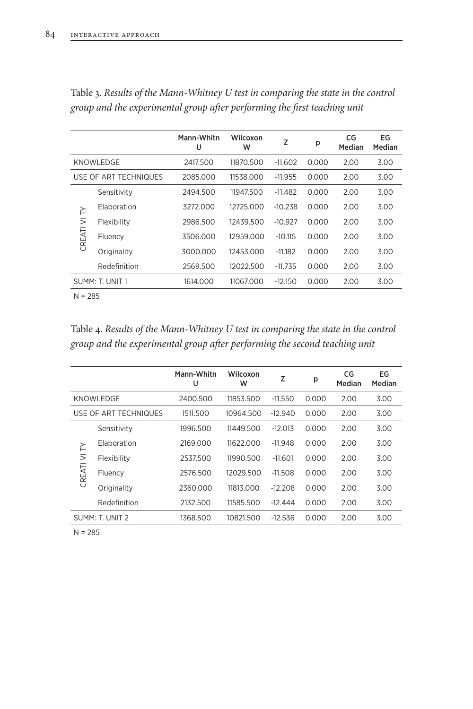|                 |                       | Mann-Whitn<br>U | Wilcoxon<br>W | Z         | p     | CG<br>Median | EG<br>Median |
|-----------------|-----------------------|-----------------|---------------|-----------|-------|--------------|--------------|
| KNOWLEDGE       |                       | 2417.500        | 11870.500     | $-11.602$ | 0.000 | 2.00         | 3.00         |
|                 | USE OF ART TECHNIQUES | 2085.000        | 11538.000     | $-11.955$ | 0.000 | 2.00         | 3.00         |
|                 | Sensitivity           | 2494.500        | 11947.500     | $-11.482$ | 0.000 | 2.00         | 3.00         |
| CREATI VI TY    | Flaboration           | 3272.000        | 12725,000     | $-10.238$ | 0.000 | 2.00         | 3.00         |
|                 | Flexibility           | 2986.500        | 12439.500     | $-10.927$ | 0.000 | 2.00         | 3.00         |
|                 | Fluency               | 3506.000        | 12959.000     | $-10.115$ | 0.000 | 2.00         | 3.00         |
|                 | Originality           | 3000.000        | 12453.000     | $-11.182$ | 0.000 | 2.00         | 3.00         |
|                 | Redefinition          | 2569.500        | 12022.500     | $-11.735$ | 0.000 | 2.00         | 3.00         |
| SUMM: T. UNIT 1 |                       | 1614.000        | 11067.000     | $-12.150$ | 0.000 | 2.00         | 3.00         |
|                 |                       |                 |               |           |       |              |              |

Table 3. *Results of the Mann-Whitney U test in comparing the state in the control group and the experimental group after performing the first teaching unit*

N = 285

Table 4. *Results of the Mann-Whitney U test in comparing the state in the control group and the experimental group after performing the second teaching unit*

|                 |                       | Mann-Whitn<br>U | Wilcoxon<br>W | Z         | p     | CG<br>Median | EG<br>Median |
|-----------------|-----------------------|-----------------|---------------|-----------|-------|--------------|--------------|
| KNOWLEDGE       |                       | 2400.500        | 11853.500     | $-11.550$ | 0.000 | 2.00         | 3.00         |
|                 | USE OF ART TECHNIQUES | 1511.500        | 10964.500     | $-12.940$ | 0.000 | 2.00         | 3.00         |
| CREATI VI TY    | Sensitivity           | 1996.500        | 11449.500     | $-12.013$ | 0.000 | 2.00         | 3.00         |
|                 | Elaboration           | 2169.000        | 11622 000     | $-11.948$ | 0.000 | 2.00         | 3.00         |
|                 | Flexibility           | 2537.500        | 11990.500     | $-11.601$ | 0.000 | 2.00         | 3.00         |
|                 | Fluency               | 2576.500        | 12029.500     | $-11.508$ | 0.000 | 2.00         | 3.00         |
|                 | Originality           | 2360.000        | 11813.000     | $-12.208$ | 0.000 | 2.00         | 3.00         |
|                 | Redefinition          | 2132.500        | 11585.500     | $-12.444$ | 0.000 | 2.00         | 3.00         |
| SUMM: T. UNIT 2 |                       | 1368.500        | 10821.500     | $-12.536$ | 0.000 | 2.00         | 3.00         |

 $N = 285$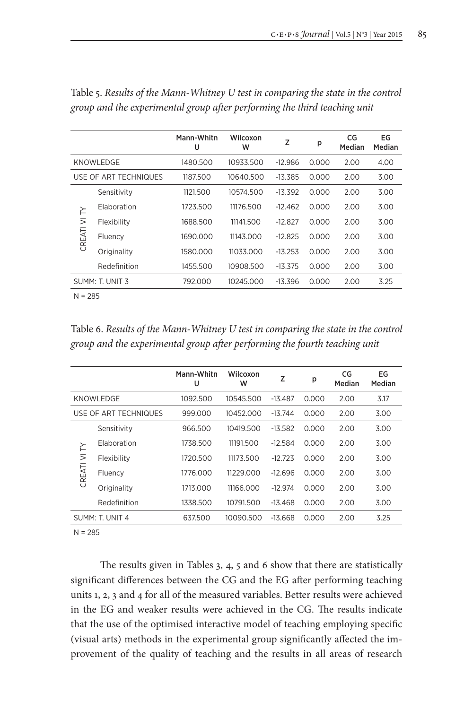|                 |                       | Mann-Whitn<br>U | Wilcoxon<br>W | Z         | p     | CG<br>Median | EG<br>Median |
|-----------------|-----------------------|-----------------|---------------|-----------|-------|--------------|--------------|
| KNOWLEDGE       |                       | 1480.500        | 10933.500     | $-12.986$ | 0.000 | 2.00         | 4.00         |
|                 | USE OF ART TECHNIQUES | 1187.500        | 10640.500     | $-13.385$ | 0.000 | 2.00         | 3.00         |
| F               | Sensitivity           | 1121.500        | 10574.500     | $-13.392$ | 0.000 | 2.00         | 3.00         |
|                 | Flaboration           | 1723.500        | 11176.500     | $-12462$  | 0.000 | 2.00         | 3.00         |
|                 | Flexibility           | 1688.500        | 11141.500     | $-12827$  | 0.000 | 2.00         | 3.00         |
| CREATI VI       | Fluency               | 1690.000        | 11143.000     | $-12.825$ | 0.000 | 2.00         | 3.00         |
|                 | Originality           | 1580.000        | 11033.000     | $-13.253$ | 0.000 | 2.00         | 3.00         |
|                 | Redefinition          | 1455.500        | 10908.500     | $-13.375$ | 0.000 | 2.00         | 3.00         |
| SUMM: T. UNIT 3 |                       | 792.000         | 10245.000     | $-13.396$ | 0.000 | 2.00         | 3.25         |
|                 |                       |                 |               |           |       |              |              |

Table 5. *Results of the Mann-Whitney U test in comparing the state in the control group and the experimental group after performing the third teaching unit*

 $N = 285$ 

Table 6. *Results of the Mann-Whitney U test in comparing the state in the control group and the experimental group after performing the fourth teaching unit*

|                 |                       | Mann-Whitn<br>U | Wilcoxon<br>w | Z         | р     | CG<br>Median | EG<br>Median |
|-----------------|-----------------------|-----------------|---------------|-----------|-------|--------------|--------------|
| KNOWLEDGE       |                       | 1092.500        | 10545.500     | $-13.487$ | 0.000 | 2.00         | 3.17         |
|                 | USE OF ART TECHNIQUES | 999.000         | 10452.000     | $-13.744$ | 0.000 | 2.00         | 3.00         |
| CREATI VI TY    | Sensitivity           | 966.500         | 10419.500     | $-13.582$ | 0.000 | 2.00         | 3.00         |
|                 | Elaboration           | 1738.500        | 11191.500     | $-12.584$ | 0.000 | 2.00         | 3.00         |
|                 | Flexibility           | 1720.500        | 11173.500     | $-12.723$ | 0.000 | 2.00         | 3.00         |
|                 | Fluency               | 1776.000        | 11229 000     | $-12696$  | 0.000 | 2.00         | 3.00         |
|                 | Originality           | 1713.000        | 11166.000     | $-12.974$ | 0.000 | 2.00         | 3.00         |
|                 | Redefinition          | 1338.500        | 10791.500     | $-13.468$ | 0.000 | 2.00         | 3.00         |
| SUMM: T. UNIT 4 |                       | 637.500         | 10090.500     | $-13.668$ | 0.000 | 2.00         | 3.25         |

 $N = 285$ 

The results given in Tables 3, 4, 5 and 6 show that there are statistically significant differences between the CG and the EG after performing teaching units 1, 2, 3 and 4 for all of the measured variables. Better results were achieved in the EG and weaker results were achieved in the CG. The results indicate that the use of the optimised interactive model of teaching employing specific (visual arts) methods in the experimental group significantly affected the improvement of the quality of teaching and the results in all areas of research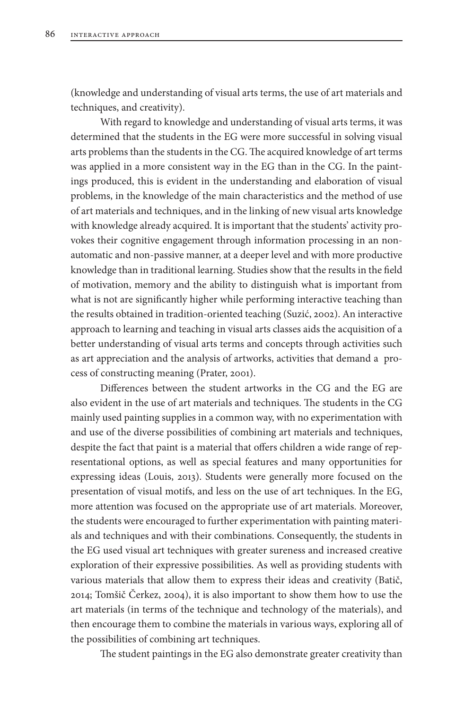(knowledge and understanding of visual arts terms, the use of art materials and techniques, and creativity).

With regard to knowledge and understanding of visual arts terms, it was determined that the students in the EG were more successful in solving visual arts problems than the students in the CG. The acquired knowledge of art terms was applied in a more consistent way in the EG than in the CG. In the paintings produced, this is evident in the understanding and elaboration of visual problems, in the knowledge of the main characteristics and the method of use of art materials and techniques, and in the linking of new visual arts knowledge with knowledge already acquired. It is important that the students' activity provokes their cognitive engagement through information processing in an nonautomatic and non-passive manner, at a deeper level and with more productive knowledge than in traditional learning. Studies show that the results in the field of motivation, memory and the ability to distinguish what is important from what is not are significantly higher while performing interactive teaching than the results obtained in tradition-oriented teaching (Suzić, 2002). An interactive approach to learning and teaching in visual arts classes aids the acquisition of a better understanding of visual arts terms and concepts through activities such as art appreciation and the analysis of artworks, activities that demand a process of constructing meaning (Prater, 2001).

Differences between the student artworks in the CG and the EG are also evident in the use of art materials and techniques. The students in the CG mainly used painting supplies in a common way, with no experimentation with and use of the diverse possibilities of combining art materials and techniques, despite the fact that paint is a material that offers children a wide range of representational options, as well as special features and many opportunities for expressing ideas (Louis, 2013). Students were generally more focused on the presentation of visual motifs, and less on the use of art techniques. In the EG, more attention was focused on the appropriate use of art materials. Moreover, the students were encouraged to further experimentation with painting materials and techniques and with their combinations. Consequently, the students in the EG used visual art techniques with greater sureness and increased creative exploration of their expressive possibilities. As well as providing students with various materials that allow them to express their ideas and creativity (Batič, 2014; Tomšič Čerkez, 2004), it is also important to show them how to use the art materials (in terms of the technique and technology of the materials), and then encourage them to combine the materials in various ways, exploring all of the possibilities of combining art techniques.

The student paintings in the EG also demonstrate greater creativity than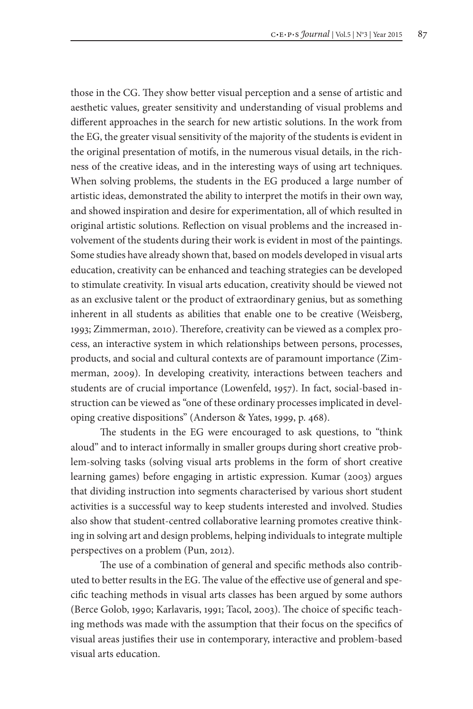those in the CG. They show better visual perception and a sense of artistic and aesthetic values, greater sensitivity and understanding of visual problems and different approaches in the search for new artistic solutions. In the work from the EG, the greater visual sensitivity of the majority of the students is evident in the original presentation of motifs, in the numerous visual details, in the richness of the creative ideas, and in the interesting ways of using art techniques. When solving problems, the students in the EG produced a large number of artistic ideas, demonstrated the ability to interpret the motifs in their own way, and showed inspiration and desire for experimentation, all of which resulted in original artistic solutions. Reflection on visual problems and the increased involvement of the students during their work is evident in most of the paintings. Some studies have already shown that, based on models developed in visual arts education, creativity can be enhanced and teaching strategies can be developed to stimulate creativity. In visual arts education, creativity should be viewed not as an exclusive talent or the product of extraordinary genius, but as something inherent in all students as abilities that enable one to be creative (Weisberg, 1993; Zimmerman, 2010). Therefore, creativity can be viewed as a complex process, an interactive system in which relationships between persons, processes, products, and social and cultural contexts are of paramount importance (Zimmerman, 2009). In developing creativity, interactions between teachers and students are of crucial importance (Lowenfeld, 1957). In fact, social-based instruction can be viewed as "one of these ordinary processes implicated in developing creative dispositions" (Anderson & Yates, 1999, p. 468).

The students in the EG were encouraged to ask questions, to "think aloud" and to interact informally in smaller groups during short creative problem-solving tasks (solving visual arts problems in the form of short creative learning games) before engaging in artistic expression. Kumar (2003) argues that dividing instruction into segments characterised by various short student activities is a successful way to keep students interested and involved. Studies also show that student-centred collaborative learning promotes creative thinking in solving art and design problems, helping individuals to integrate multiple perspectives on a problem (Pun, 2012).

The use of a combination of general and specific methods also contributed to better results in the EG. The value of the effective use of general and specific teaching methods in visual arts classes has been argued by some authors (Berce Golob, 1990; Karlavaris, 1991; Tacol, 2003). The choice of specific teaching methods was made with the assumption that their focus on the specifics of visual areas justifies their use in contemporary, interactive and problem-based visual arts education.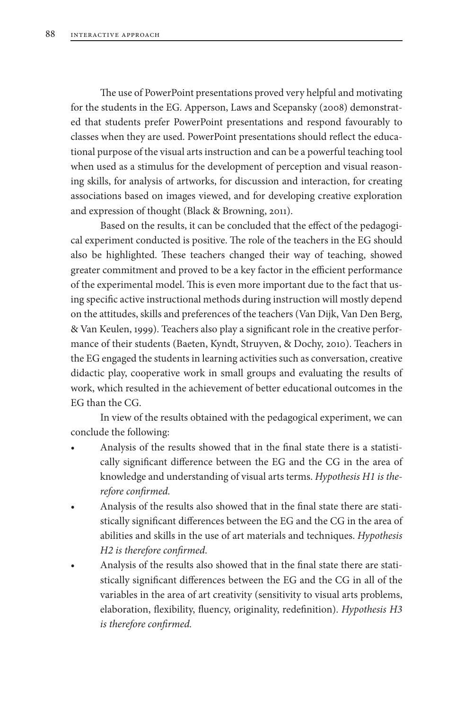The use of PowerPoint presentations proved very helpful and motivating for the students in the EG. Apperson, Laws and Scepansky (2008) demonstrated that students prefer PowerPoint presentations and respond favourably to classes when they are used. PowerPoint presentations should reflect the educational purpose of the visual arts instruction and can be a powerful teaching tool when used as a stimulus for the development of perception and visual reasoning skills, for analysis of artworks, for discussion and interaction, for creating associations based on images viewed, and for developing creative exploration and expression of thought (Black & Browning, 2011).

Based on the results, it can be concluded that the effect of the pedagogical experiment conducted is positive. The role of the teachers in the EG should also be highlighted. These teachers changed their way of teaching, showed greater commitment and proved to be a key factor in the efficient performance of the experimental model. This is even more important due to the fact that using specific active instructional methods during instruction will mostly depend on the attitudes, skills and preferences of the teachers (Van Dijk, Van Den Berg, & Van Keulen, 1999). Teachers also play a significant role in the creative performance of their students (Baeten, Kyndt, Struyven, & Dochy, 2010). Teachers in the EG engaged the students in learning activities such as conversation, creative didactic play, cooperative work in small groups and evaluating the results of work, which resulted in the achievement of better educational outcomes in the EG than the CG.

In view of the results obtained with the pedagogical experiment, we can conclude the following:

- Analysis of the results showed that in the final state there is a statistically significant difference between the EG and the CG in the area of knowledge and understanding of visual arts terms. *Hypothesis H1 is therefore confirmed.*
- Analysis of the results also showed that in the final state there are statistically significant differences between the EG and the CG in the area of abilities and skills in the use of art materials and techniques. *Hypothesis H2 is therefore confirmed*.
- Analysis of the results also showed that in the final state there are statistically significant differences between the EG and the CG in all of the variables in the area of art creativity (sensitivity to visual arts problems, elaboration, flexibility, fluency, originality, redefinition). *Hypothesis H3 is therefore confirmed.*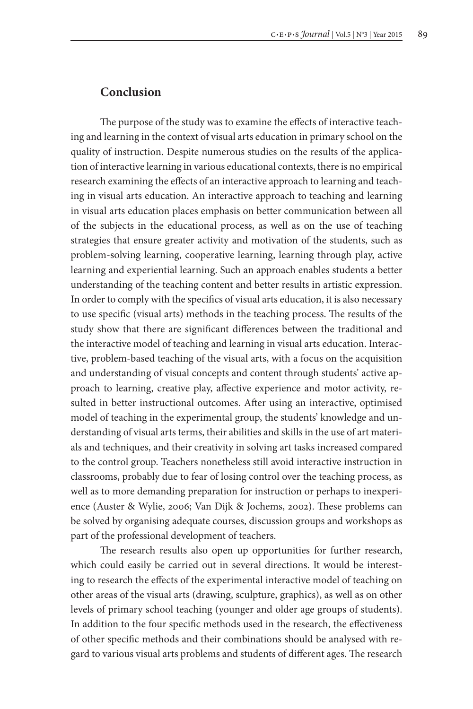## **Conclusion**

The purpose of the study was to examine the effects of interactive teaching and learning in the context of visual arts education in primary school on the quality of instruction. Despite numerous studies on the results of the application of interactive learning in various educational contexts, there is no empirical research examining the effects of an interactive approach to learning and teaching in visual arts education. An interactive approach to teaching and learning in visual arts education places emphasis on better communication between all of the subjects in the educational process, as well as on the use of teaching strategies that ensure greater activity and motivation of the students, such as problem-solving learning, cooperative learning, learning through play, active learning and experiential learning. Such an approach enables students a better understanding of the teaching content and better results in artistic expression. In order to comply with the specifics of visual arts education, it is also necessary to use specific (visual arts) methods in the teaching process. The results of the study show that there are significant differences between the traditional and the interactive model of teaching and learning in visual arts education. Interactive, problem-based teaching of the visual arts, with a focus on the acquisition and understanding of visual concepts and content through students' active approach to learning, creative play, affective experience and motor activity, resulted in better instructional outcomes. After using an interactive, optimised model of teaching in the experimental group, the students' knowledge and understanding of visual arts terms, their abilities and skills in the use of art materials and techniques, and their creativity in solving art tasks increased compared to the control group. Teachers nonetheless still avoid interactive instruction in classrooms, probably due to fear of losing control over the teaching process, as well as to more demanding preparation for instruction or perhaps to inexperience (Auster & Wylie, 2006; Van Dijk & Jochems, 2002). These problems can be solved by organising adequate courses, discussion groups and workshops as part of the professional development of teachers.

The research results also open up opportunities for further research, which could easily be carried out in several directions. It would be interesting to research the effects of the experimental interactive model of teaching on other areas of the visual arts (drawing, sculpture, graphics), as well as on other levels of primary school teaching (younger and older age groups of students). In addition to the four specific methods used in the research, the effectiveness of other specific methods and their combinations should be analysed with regard to various visual arts problems and students of different ages. The research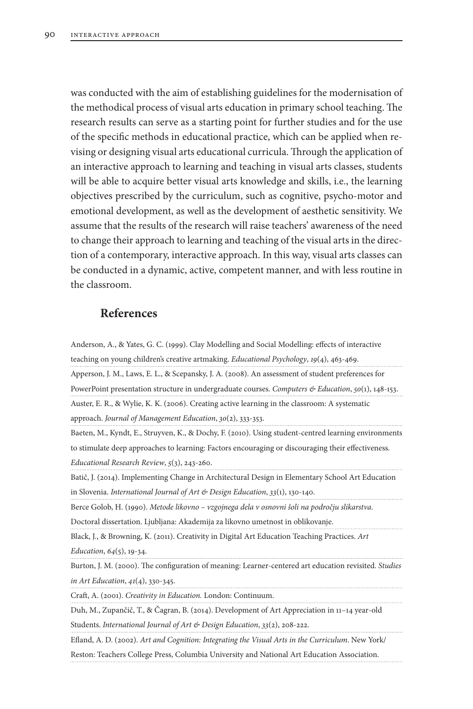was conducted with the aim of establishing guidelines for the modernisation of the methodical process of visual arts education in primary school teaching. The research results can serve as a starting point for further studies and for the use of the specific methods in educational practice, which can be applied when revising or designing visual arts educational curricula. Through the application of an interactive approach to learning and teaching in visual arts classes, students will be able to acquire better visual arts knowledge and skills, i.e., the learning objectives prescribed by the curriculum, such as cognitive, psycho-motor and emotional development, as well as the development of aesthetic sensitivity. We assume that the results of the research will raise teachers' awareness of the need to change their approach to learning and teaching of the visual arts in the direction of a contemporary, interactive approach. In this way, visual arts classes can be conducted in a dynamic, active, competent manner, and with less routine in the classroom.

#### **References**

Anderson, A., & Yates, G. C. (1999). Clay Modelling and Social Modelling: effects of interactive teaching on young children's creative artmaking. *Educational Psychology*, *19*(4), 463-469. Apperson, J. M., Laws, E. L., & Scepansky, J. A. (2008). An assessment of student preferences for PowerPoint presentation structure in undergraduate courses. *Computers & Education*, *50*(1), 148-153. Auster, E. R., & Wylie, K. K. (2006). Creating active learning in the classroom: A systematic approach. *Journal of Management Education*, *30*(2), 333-353. Baeten, M., Kyndt, E., Struyven, K., & Dochy, F. (2010). Using student-centred learning environments to stimulate deep approaches to learning: Factors encouraging or discouraging their effectiveness. *Educational Research Review*, *5*(3), 243-260. Batič, J. (2014). Implementing Change in Architectural Design in Elementary School Art Education in Slovenia. *International Journal of Art & Design Education*, *33*(1), 130-140. Berce Golob, H. (1990). *Metode likovno – vzgojnega dela v osnovni šoli na področju slikarstva*. Doctoral dissertation. Ljubljana: Akademija za likovno umetnost in oblikovanje.

Black, J., & Browning, K. (2011). Creativity in Digital Art Education Teaching Practices. *Art Education*, *64*(5), 19-34.

Burton, J. M. (2000). The configuration of meaning: Learner-centered art education revisited. *Studies in Art Education*, *41*(4), 330-345.

Craft, A. (2001). *Creativity in Education.* London: Continuum.

Duh, M., Zupančič, T., & Čagran, B. (2014). Development of Art Appreciation in 11–14 year‐old Students. *International Journal of Art & Design Education*, *33*(2), 208-222.

Efland, A. D. (2002). *Art and Cognition: Integrating the Visual Arts in the Curriculum*. New York/

Reston: Teachers College Press, Columbia University and National Art Education Association.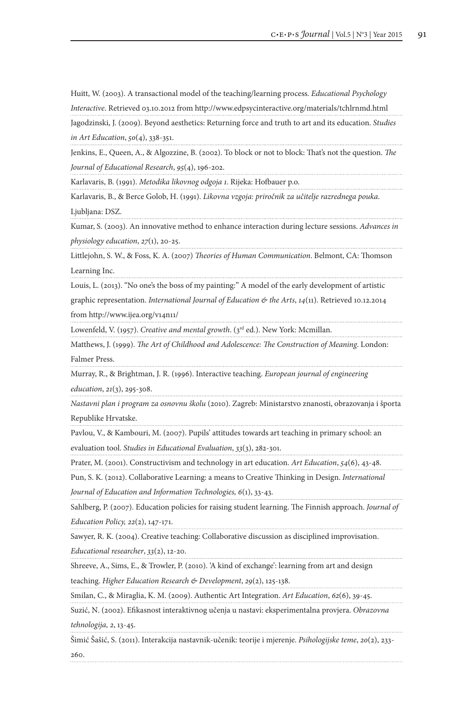Huitt, W. (2003). A transactional model of the teaching/learning process. *Educational Psychology* 

*Interactive*. Retrieved 03.10.2012 from http://www.edpsycinteractive.org/materials/tchlrnmd.html

Jagodzinski, J. (2009). Beyond aesthetics: Returning force and truth to art and its education. *Studies in Art Education*, *50*(4), 338-351.

Jenkins, E., Queen, A., & Algozzine, B. (2002). To block or not to block: That's not the question. *The Journal of Educational Research*, *95*(4), 196-202.

Karlavaris, B. (1991). *Metodika likovnog odgoja 1*. Rijeka: Hofbauer p.o.

Karlavaris, B., & Berce Golob, H. (1991). *Likovna vzgoja: priročnik za učitelje razrednega pouka*. Ljubljana: DSZ.

Kumar, S. (2003). An innovative method to enhance interaction during lecture sessions. *Advances in physiology education*, *27*(1), 20-25.

Littlejohn, S. W., & Foss, K. A. (2007) *Theories of Human Communication*. Belmont, CA: Thomson Learning Inc.

Louis, L. (2013). "No one's the boss of my painting:" A model of the early development of artistic

graphic representation. *International Journal of Education & the Arts*, *14*(11). Retrieved 10.12.2014

from http://www.ijea.org/v14n11/

Lowenfeld, V. (1957). *Creative and mental growth*. (3<sup>rd</sup> ed.). New York: Mcmillan.

Matthews, J. (1999). *The Art of Childhood and Adolescence: The Construction of Meaning*. London: Falmer Press.

Murray, R., & Brightman, J. R. (1996). Interactive teaching. *European journal of engineering* 

*education*, *21*(3), 295-308.

*Nastavni plan i program za osnovnu školu* (2010). Zagreb: Ministarstvo znanosti, obrazovanja i športa Republike Hrvatske.

Pavlou, V., & Kambouri, M. (2007). Pupils' attitudes towards art teaching in primary school: an

evaluation tool. *Studies in Educational Evaluation*, *33*(3), 282-301.

Prater, M. (2001). Constructivism and technology in art education. *Art Education*, *54*(6), 43-48.

Pun, S. K. (2012). Collaborative Learning: a means to Creative Thinking in Design. *International* 

*Journal of Education and Information Technologies, 6*(1), 33-43.

Sahlberg, P. (2007). Education policies for raising student learning. The Finnish approach. *Journal of Education Policy, 22*(2), 147-171.

Sawyer, R. K. (2004). Creative teaching: Collaborative discussion as disciplined improvisation.

*Educational researcher*, *33*(2), 12-20.

Shreeve, A., Sims, E., & Trowler, P. (2010). 'A kind of exchange': learning from art and design teaching. *Higher Education Research & Development*, *29*(2), 125-138.

Smilan, C., & Miraglia, K. M. (2009). Authentic Art Integration. *Art Education*, *62*(6), 39-45.

Suzić, N. (2002). Efikasnost interaktivnog učenja u nastavi: eksperimentalna provjera. *Obrazovna* 

*tehnologija, 2*, 13-45.

Šimić Šašić, S. (2011). Interakcija nastavnik-učenik: teorije i mjerenje. *Psihologijske teme*, *20*(2), 233- 260.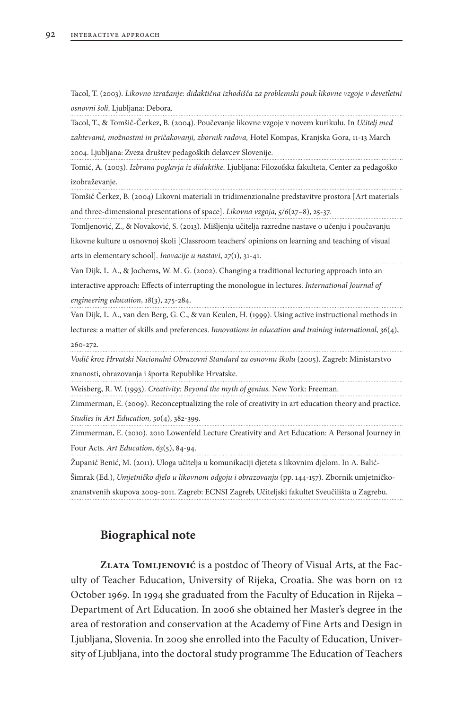Tacol, T. (2003). *Likovno izražanje: didaktična izhodišča za problemski pouk likovne vzgoje v devetletni osnovni šoli*. Ljubljana: Debora.

Tacol, T., & Tomšič-Čerkez, B. (2004). Poučevanje likovne vzgoje v novem kurikulu. In *Učitelj med zahtevami, možnostmi in pričakovanji, zbornik radova,* Hotel Kompas, Kranjska Gora, 11-13 March 2004. Ljubljana: Zveza društev pedagoških delavcev Slovenije.

Tomić, A. (2003). *Izbrana poglavja iz didaktike.* Ljubljana: Filozofska fakulteta, Center za pedagoško izobraževanje.

Tomšič Čerkez, B. (2004) Likovni materiali in tridimenzionalne predstavitve prostora [Art materials and three-dimensional presentations of space]. *Likovna vzgoja, 5/6*(27–8), 25-37.

Tomljenović, Z., & Novaković, S. (2013). Mišljenja učitelja razredne nastave o učenju i poučavanju likovne kulture u osnovnoj školi [Classroom teachers' opinions on learning and teaching of visual arts in elementary school]. *Inovacije u nastavi*, *27*(1), 31-41.

Van Dijk, L. A., & Jochems, W. M. G. (2002). Changing a traditional lecturing approach into an interactive approach: Effects of interrupting the monologue in lectures. *International Journal of engineering education*, *18*(3), 275-284.

Van Dijk, L. A., van den Berg, G. C., & van Keulen, H. (1999). Using active instructional methods in lectures: a matter of skills and preferences. *Innovations in education and training international*, *36*(4), 260-272.

*Vodič kroz Hrvatski Nacionalni Obrazovni Standard za osnovnu školu* (2005). Zagreb: Ministarstvo

znanosti, obrazovanja i športa Republike Hrvatske.

Weisberg, R. W. (1993). *Creativity: Beyond the myth of genius*. New York: Freeman.

Zimmerman, E. (2009). Reconceptualizing the role of creativity in art education theory and practice. *Studies in Art Education, 50*(4), 382-399.

Zimmerman, E. (2010). 2010 Lowenfeld Lecture Creativity and Art Education: A Personal Journey in Four Acts. *Art Education*, *63*(5), 84-94.

Županić Benić, M. (2011). Uloga učitelja u komunikaciji djeteta s likovnim djelom. In A. Balić-Šimrak (Ed.), *Umjetničko djelo u likovnom odgoju i obrazovanju* (pp. 144-157)*.* Zbornik umjetničkoznanstvenih skupova 2009-2011. Zagreb: ECNSI Zagreb, Učiteljski fakultet Sveučilišta u Zagrebu.

# **Biographical note**

**Zlata Tomljenović** is a postdoc of Theory of Visual Arts, at the Faculty of Teacher Education, University of Rijeka, Croatia. She was born on 12 October 1969. In 1994 she graduated from the Faculty of Education in Rijeka – Department of Art Education. In 2006 she obtained her Master's degree in the area of restoration and conservation at the Academy of Fine Arts and Design in Ljubljana, Slovenia. In 2009 she enrolled into the Faculty of Education, University of Ljubljana, into the doctoral study programme The Education of Teachers